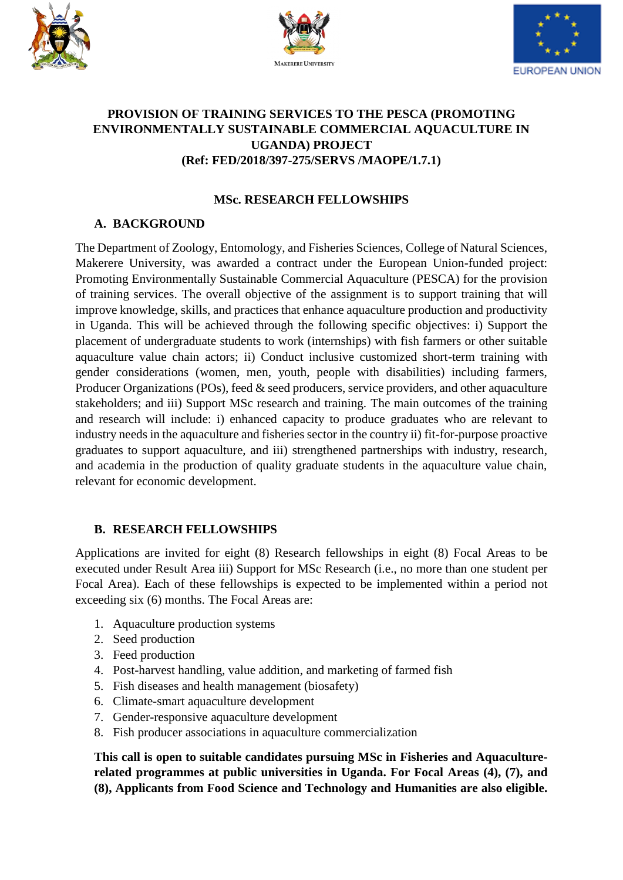





#### **PROVISION OF TRAINING SERVICES TO THE PESCA (PROMOTING ENVIRONMENTALLY SUSTAINABLE COMMERCIAL AQUACULTURE IN UGANDA) PROJECT (Ref: FED/2018/397-275/SERVS /MAOPE/1.7.1)**

### **MSc. RESEARCH FELLOWSHIPS**

## **A. BACKGROUND**

The Department of Zoology, Entomology, and Fisheries Sciences, College of Natural Sciences, Makerere University, was awarded a contract under the European Union-funded project: Promoting Environmentally Sustainable Commercial Aquaculture (PESCA) for the provision of training services. The overall objective of the assignment is to support training that will improve knowledge, skills, and practices that enhance aquaculture production and productivity in Uganda. This will be achieved through the following specific objectives: i) Support the placement of undergraduate students to work (internships) with fish farmers or other suitable aquaculture value chain actors; ii) Conduct inclusive customized short-term training with gender considerations (women, men, youth, people with disabilities) including farmers, Producer Organizations (POs), feed & seed producers, service providers, and other aquaculture stakeholders; and iii) Support MSc research and training. The main outcomes of the training and research will include: i) enhanced capacity to produce graduates who are relevant to industry needs in the aquaculture and fisheries sector in the country ii) fit-for-purpose proactive graduates to support aquaculture, and iii) strengthened partnerships with industry, research, and academia in the production of quality graduate students in the aquaculture value chain, relevant for economic development.

### **B. RESEARCH FELLOWSHIPS**

Applications are invited for eight (8) Research fellowships in eight (8) Focal Areas to be executed under Result Area iii) Support for MSc Research (i.e., no more than one student per Focal Area). Each of these fellowships is expected to be implemented within a period not exceeding six (6) months. The Focal Areas are:

- 1. Aquaculture production systems
- 2. Seed production
- 3. Feed production
- 4. Post-harvest handling, value addition, and marketing of farmed fish
- 5. Fish diseases and health management (biosafety)
- 6. Climate-smart aquaculture development
- 7. Gender-responsive aquaculture development
- 8. Fish producer associations in aquaculture commercialization

**This call is open to suitable candidates pursuing MSc in Fisheries and Aquaculturerelated programmes at public universities in Uganda. For Focal Areas (4), (7), and (8), Applicants from Food Science and Technology and Humanities are also eligible.**